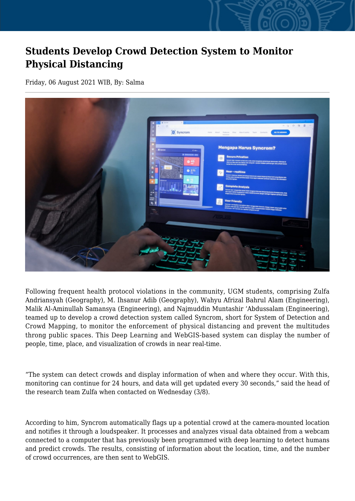## **Students Develop Crowd Detection System to Monitor Physical Distancing**

Friday, 06 August 2021 WIB, By: Salma



Following frequent health protocol violations in the community, UGM students, comprising Zulfa Andriansyah (Geography), M. Ihsanur Adib (Geography), Wahyu Afrizal Bahrul Alam (Engineering), Malik Al-Aminullah Samansya (Engineering), and Najmuddin Muntashir 'Abdussalam (Engineering), teamed up to develop a crowd detection system called Syncrom, short for System of Detection and Crowd Mapping, to monitor the enforcement of physical distancing and prevent the multitudes throng public spaces. This Deep Learning and WebGIS-based system can display the number of people, time, place, and visualization of crowds in near real-time.

"The system can detect crowds and display information of when and where they occur. With this, monitoring can continue for 24 hours, and data will get updated every 30 seconds," said the head of the research team Zulfa when contacted on Wednesday (3/8).

According to him, Syncrom automatically flags up a potential crowd at the camera-mounted location and notifies it through a loudspeaker. It processes and analyzes visual data obtained from a webcam connected to a computer that has previously been programmed with deep learning to detect humans and predict crowds. The results, consisting of information about the location, time, and the number of crowd occurrences, are then sent to WebGIS.